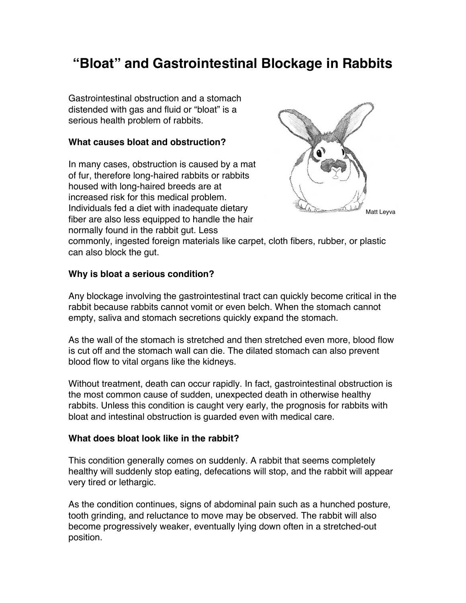# **"Bloat" and Gastrointestinal Blockage in Rabbits**

Gastrointestinal obstruction and a stomach distended with gas and fluid or "bloat" is a serious health problem of rabbits.

### **What causes bloat and obstruction?**

In many cases, obstruction is caused by a mat of fur, therefore long-haired rabbits or rabbits housed with long-haired breeds are at increased risk for this medical problem. Individuals fed a diet with inadequate dietary fiber are also less equipped to handle the hair normally found in the rabbit gut. Less



commonly, ingested foreign materials like carpet, cloth fibers, rubber, or plastic can also block the gut.

# **Why is bloat a serious condition?**

Any blockage involving the gastrointestinal tract can quickly become critical in the rabbit because rabbits cannot vomit or even belch. When the stomach cannot empty, saliva and stomach secretions quickly expand the stomach.

As the wall of the stomach is stretched and then stretched even more, blood flow is cut off and the stomach wall can die. The dilated stomach can also prevent blood flow to vital organs like the kidneys.

Without treatment, death can occur rapidly. In fact, gastrointestinal obstruction is the most common cause of sudden, unexpected death in otherwise healthy rabbits. Unless this condition is caught very early, the prognosis for rabbits with bloat and intestinal obstruction is guarded even with medical care.

# **What does bloat look like in the rabbit?**

This condition generally comes on suddenly. A rabbit that seems completely healthy will suddenly stop eating, defecations will stop, and the rabbit will appear very tired or lethargic.

As the condition continues, signs of abdominal pain such as a hunched posture, tooth grinding, and reluctance to move may be observed. The rabbit will also become progressively weaker, eventually lying down often in a stretched-out position.